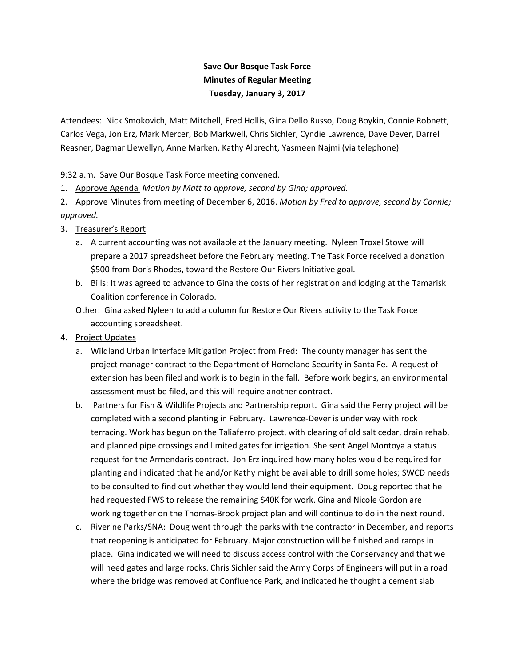## **Save Our Bosque Task Force Minutes of Regular Meeting Tuesday, January 3, 2017**

Attendees: Nick Smokovich, Matt Mitchell, Fred Hollis, Gina Dello Russo, Doug Boykin, Connie Robnett, Carlos Vega, Jon Erz, Mark Mercer, Bob Markwell, Chris Sichler, Cyndie Lawrence, Dave Dever, Darrel Reasner, Dagmar Llewellyn, Anne Marken, Kathy Albrecht, Yasmeen Najmi (via telephone)

9:32 a.m. Save Our Bosque Task Force meeting convened.

1. Approve Agenda *Motion by Matt to approve, second by Gina; approved.* 

2. Approve Minutes from meeting of December 6, 2016. *Motion by Fred to approve, second by Connie; approved.* 

- 3. Treasurer's Report
	- a. A current accounting was not available at the January meeting. Nyleen Troxel Stowe will prepare a 2017 spreadsheet before the February meeting. The Task Force received a donation \$500 from Doris Rhodes, toward the Restore Our Rivers Initiative goal.
	- b. Bills: It was agreed to advance to Gina the costs of her registration and lodging at the Tamarisk Coalition conference in Colorado.

 Other: Gina asked Nyleen to add a column for Restore Our Rivers activity to the Task Force accounting spreadsheet.

- 4. Project Updates
	- a. Wildland Urban Interface Mitigation Project from Fred: The county manager has sent the project manager contract to the Department of Homeland Security in Santa Fe. A request of extension has been filed and work is to begin in the fall. Before work begins, an environmental assessment must be filed, and this will require another contract.
	- b. Partners for Fish & Wildlife Projects and Partnership report. Gina said the Perry project will be completed with a second planting in February. Lawrence-Dever is under way with rock terracing. Work has begun on the Taliaferro project, with clearing of old salt cedar, drain rehab, and planned pipe crossings and limited gates for irrigation. She sent Angel Montoya a status request for the Armendaris contract. Jon Erz inquired how many holes would be required for planting and indicated that he and/or Kathy might be available to drill some holes; SWCD needs to be consulted to find out whether they would lend their equipment. Doug reported that he had requested FWS to release the remaining \$40K for work. Gina and Nicole Gordon are working together on the Thomas-Brook project plan and will continue to do in the next round.
	- c. Riverine Parks/SNA: Doug went through the parks with the contractor in December, and reports that reopening is anticipated for February. Major construction will be finished and ramps in place. Gina indicated we will need to discuss access control with the Conservancy and that we will need gates and large rocks. Chris Sichler said the Army Corps of Engineers will put in a road where the bridge was removed at Confluence Park, and indicated he thought a cement slab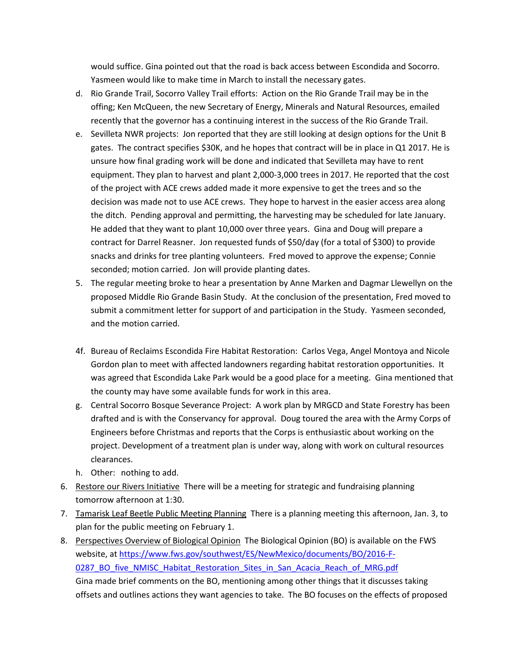would suffice. Gina pointed out that the road is back access between Escondida and Socorro. Yasmeen would like to make time in March to install the necessary gates.

- d. Rio Grande Trail, Socorro Valley Trail efforts: Action on the Rio Grande Trail may be in the offing; Ken McQueen, the new Secretary of Energy, Minerals and Natural Resources, emailed recently that the governor has a continuing interest in the success of the Rio Grande Trail.
- e. Sevilleta NWR projects: Jon reported that they are still looking at design options for the Unit B gates. The contract specifies \$30K, and he hopes that contract will be in place in Q1 2017. He is unsure how final grading work will be done and indicated that Sevilleta may have to rent equipment. They plan to harvest and plant 2,000-3,000 trees in 2017. He reported that the cost of the project with ACE crews added made it more expensive to get the trees and so the decision was made not to use ACE crews. They hope to harvest in the easier access area along the ditch. Pending approval and permitting, the harvesting may be scheduled for late January. He added that they want to plant 10,000 over three years. Gina and Doug will prepare a contract for Darrel Reasner. Jon requested funds of \$50/day (for a total of \$300) to provide snacks and drinks for tree planting volunteers. Fred moved to approve the expense; Connie seconded; motion carried. Jon will provide planting dates.
- 5. The regular meeting broke to hear a presentation by Anne Marken and Dagmar Llewellyn on the proposed Middle Rio Grande Basin Study. At the conclusion of the presentation, Fred moved to submit a commitment letter for support of and participation in the Study. Yasmeen seconded, and the motion carried.
- 4f. Bureau of Reclaims Escondida Fire Habitat Restoration: Carlos Vega, Angel Montoya and Nicole Gordon plan to meet with affected landowners regarding habitat restoration opportunities. It was agreed that Escondida Lake Park would be a good place for a meeting. Gina mentioned that the county may have some available funds for work in this area.
- g. Central Socorro Bosque Severance Project: A work plan by MRGCD and State Forestry has been drafted and is with the Conservancy for approval. Doug toured the area with the Army Corps of Engineers before Christmas and reports that the Corps is enthusiastic about working on the project. Development of a treatment plan is under way, along with work on cultural resources clearances.
- h. Other: nothing to add.
- 6. Restore our Rivers Initiative There will be a meeting for strategic and fundraising planning tomorrow afternoon at 1:30.
- 7. Tamarisk Leaf Beetle Public Meeting Planning There is a planning meeting this afternoon, Jan. 3, to plan for the public meeting on February 1.
- 8. Perspectives Overview of Biological Opinion The Biological Opinion (BO) is available on the FWS website, at https://www.fws.gov/southwest/ES/NewMexico/documents/BO/2016-F-0287\_BO\_five\_NMISC\_Habitat\_Restoration\_Sites\_in\_San\_Acacia\_Reach\_of\_MRG.pdf Gina made brief comments on the BO, mentioning among other things that it discusses taking offsets and outlines actions they want agencies to take. The BO focuses on the effects of proposed